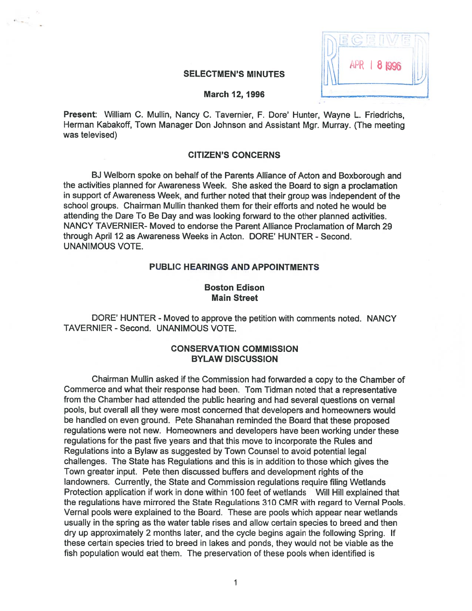| <b>APR   8 1996</b> |  |
|---------------------|--|
| a mata              |  |

### **SELECTMEN'S MINUTES**

### March 12, 1996

Present: William C. Mullin, Nancy C. Tavernier, F. Dore' Hunter, Wayne L. Friedrichs, Herman Kabakoff, Town Manager Don Johnson and Assistant Mgr. Murray. (The meeting was televised)

## CITIZEN'S CONCERNS

BJ Welborn spoke on behalf of the Parents Alliance of Acton and Boxborough and the activities <sup>p</sup>lanned for Awareness Week. She asked the Board to sign <sup>a</sup> proclamation in suppor<sup>t</sup> of Awareness Week, and further noted that their group was independent of the school groups. Chairman Mullin thanked them for their efforts and noted he would be attending the Dare To Be Day and was looking forward to the other <sup>p</sup>lanned activities. NANCY TAVERNIER- Moved to endorse the Parent Alliance Proclamation of March 29 through April 12 as Awareness Weeks in Acton. DORE' HUNTER - Second. UNANIMOUS VOTE.

# PUBLIC HEARINGS AND APPOINTMENTS

# Boston Edison Main Street

DORE' HUNTER - Moved to approve the petition with comments noted. NANCY TAVERNIER -Second. UNANIMOUS VOTE.

# CONSERVATION COMMISSION BYLAW DISCUSSION

Chairman Mullin asked if the Commission had forwarded <sup>a</sup> copy to the Chamber of Commerce and what their response had been. Tom Tidman noted that <sup>a</sup> representative from the Chamber had attended the public hearing and had several questions on vernal pools, but overall all they were most concerned that developers and homeowners would be handled on even ground. Pete Shanahan reminded the Board that these proposed regulations were not new. Homeowners and developers have been working under these regulations for the pas<sup>t</sup> five years and that this move to incorporate the Rules and Regulations into <sup>a</sup> Bylaw as suggested by Town Counsel to avoid potential legal challenges. The State has Regulations and this is in addition to those which <sup>g</sup>ives the Town greater input. Pete then discussed buffers and development rights of the landowners. Currently, the State and Commission regulations require filing Wetlands Protection application if work in done within 100 feet of wetlands Will Hill explained that the regulations have mirrored the State Regulations 310 CMR with regard to Vernat Pools. Vernal pools were explained to the Board. These are pools which appear neat wetlands usually in the spring as the water table rises and allow certain species to breed and then dry up approximately 2 months later, and the cycle begins again the following Spring. If these certain species tried to breed in lakes and ponds, they would not be viable as the fish population would eat them. The preservation of these pools when identified is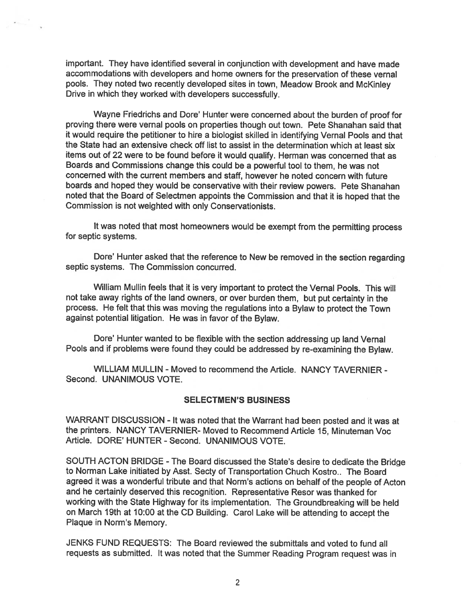important. They have identified several in conjunction with development and have made accommodations with developers and home owners for the preservation of these vernal pools. They noted two recently developed sites in town, Meadow Brook and Mckinley Drive in which they worked with developers successfully.

Wayne Friedrichs and Dore' Hunter were concerned about the burden of proo<sup>f</sup> for proving there were vernal pools on properties though out town. Pete Shanahan said that it would require the petitioner to hire <sup>a</sup> biologist skilled in identifying Vernal Pools and that the State had an extensive check off list to assist in the determination which at least six items out of <sup>22</sup> were to be found before it would qualify. Herman was concerned that as Boards and Commissions change this could be <sup>a</sup> powerful tool to them, he was not concerned with the current members and staff, however he noted concern with future boards and hoped they would be conservative with their review powers. Pete Shanahan noted that the Board of Selectmen appoints the Commission and that it is hoped that the Commission is not weighted with only Conservationists.

It was noted that most homeowners would be exemp<sup>t</sup> from the permitting process for septic systems.

Dore' Hunter asked that the reference to New be removed in the section regarding septic systems. The Commission concurred.

William Mullin feels that it is very important to protect the Vernal Pools. This will not take away rights of the land owners, or over burden them, but pu<sup>t</sup> certainty in the process. He felt that this was moving the regulations into <sup>a</sup> Bylaw to protect the Town against potential litigation. He was in favor of the Bylaw.

Dore' Hunter wanted to be flexible with the section addressing up land Vernal Pools and if problems were found they could be addressed by re-examining the Bylaw.

WILLIAM MULLIN - Moved to recommend the Article. NANCY TAVERNIER - Second. UNANIMOUS VOTE.

### SELECTMEN'S BUSINESS

WARRANT DISCUSSION - It was noted that the Warrant had been posted and it was at the printers. NANCY TAVERNIER- Moved to Recommend Article 15, Minuteman Voc Article. DORE' HUNTER - Second. UNANIMOUS VOTE.

SOUTH ACTON BRIDGE -The Board discussed the State's desire to dedicate the Bridge to Norman Lake initiated by Asst. Secty of Transportation Chuch Kostro.. The Board agree<sup>d</sup> it was <sup>a</sup> wonderful tribute and that Norm's actions on behalf of the people of Acton and he certainly deserved this recognition. Representative Resor was thanked for working with the State Highway for its implementation. The Groundbreaking will be held on March 19th at 10:00 at the CD Building. Carol Lake will be attending to accep<sup>t</sup> the Plaque in Norm's Memory.

JENKS FUND REQUESTS: The Board reviewed the submittals and voted to fund all requests as submitted. It was noted that the Summer Reading Program reques<sup>t</sup> was in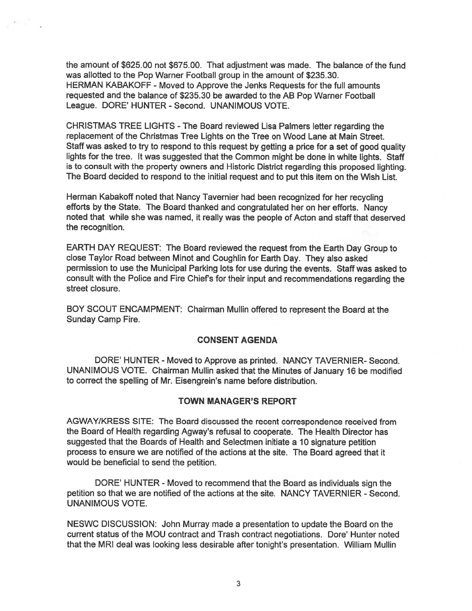the amount of \$625.00 not \$675.00. That adjustment was made. The balance of the fund was allotted to the Pop Warner Football group in the amount of \$235.30. HERMAN KABAKOFF - Moved to Approve the Jenks Requests for the full amounts requested and the balance of \$235.30 be awarded to the AB Pop Warner Football League. DORE' HUNTER - Second. UNANIMOUS VOTE.

CHRISTMAS TREE LIGHTS - The Board reviewed Lisa Palmers letter regarding the replacement of the Christmas Tree Lights on the Tree on Wood Lane at Main Street. Staff was asked to try to respond to this reques<sup>t</sup> by getting <sup>a</sup> price for <sup>a</sup> set of good quality lights for the tree. It was suggested that the Common might be done in white lights. Staff is to consult with the property owners and Historic District regarding this proposed lighting. The Board decided to respond to the initial reques<sup>t</sup> and to pu<sup>t</sup> this item on the Wish List.

Herman Kabakoff noted that Nancy Tavernier had been recognized for her recycling efforts by the State. The Board thanked and congratulated her on her efforts. Nancy noted that while she was named, it really was the people of Acton and staff that deserved the recognition.

EARTH DAY REQUEST: The Board reviewed the reques<sup>t</sup> from the Earth Day Group to close Taylor Road between Minot and Coughlin for Earth Day. They also asked permission to use the Municipal Parking lots for use during the events. Staff was asked to consult with the Police and Fire Chiefs for their input and recommendations regarding the street closure.

BOY SCOUT ENCAMPMENT: Chairman Mullin offered to represen<sup>t</sup> the Board at the Sunday Camp Fire.

# CONSENT AGENDA

DORE' HUNTER - Moved to Approve as printed. NANCY TAVERNIER- Second. UNANIMOUS VOTE. Chairman Mullin asked that the Minutes of January 16 be modified to correct the spelling of Mr. Eisengrein's name before distribution.

# TOWN MANAGER'S REPORT

AGWAY/KRESS SITE: The Board discussed the recent correspondence received from the Board of Health regarding Agway's refusal to cooperate. The Health Director has suggested that the Boards of Health and Selectmen initiate <sup>a</sup> 10 signature petition process to ensure we are notified of the actions at the site. The Board agreed that it would be beneficial to send the petition.

DORE' HUNTER - Moved to recommend that the Board as individuals sign the petition so that we are notified of the actions at the site. NANCY TAVERNIER - Second. UNANIMOUS VOTE.

NESWC DiSCUSSION: John Murray made <sup>a</sup> presentation to update the Board on the current status of the MDU contract and Trash contract negotiations. Dore' Hunter noted that the MRI deal was looking less desirable after tonight's presentation. William Mullin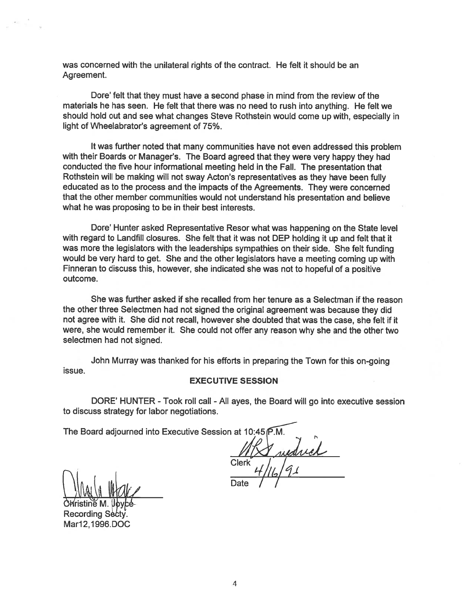was concerned with the unilateral rights of the contract. He felt it should be an Agreement.

Dore' felt that they must have <sup>a</sup> second phase in mind from the review of the materials he has seen. He felt that there was no need to tush into anything. He felt we should hold out and see what changes Steve Rothstein would come up with, especially in light of Wheelabrator's agreemen<sup>t</sup> of 75%.

It was further noted that many communities have not even addressed this problem with their Boards or Manager's. The Board agreed that they were very happy they had conducted the five hour informational meeting held in the Fall. The presentation that Rothstein will be making will not sway Acton's representatives as they have been fully educated as to the process and the impacts of the Agreements. They were concerned that the other member communities would not understand his presentation and believe what he was proposing to be in their best interests.

Dore' Hunter asked Representative Resor what was happening on the State level with regard to Landfill closures. She felt that it was not DEP holding it up and felt that it was more the legislators with the leaderships sympathies on their side. She felt funding would be very hard to get. She and the other legislators have <sup>a</sup> meeting coming up with Finneran to discuss this, however, she indicated she was not to hopeful of <sup>a</sup> positive outcome.

She was further asked if she recalled from her tenure as <sup>a</sup> Selectman if the reason the other three Selectmen had not signed the original agreemen<sup>t</sup> was because they did not agree with it. She did not recall, however she doubted that was the case, she felt if it were, she would remember it. She could not offer any reason why she and the other two selectmen had not signed.

John Murray was thanked for his efforts in preparing the Town for this on-going issue.

### EXECUTIVE SESSION

DORE' HUNTER - Took roll call - All ayes, the Board will go into executive session to discuss strategy for labor negotiations.

The Board adjourned into Executive Session at 10:45 P.M.

Clerk

Date

OWristine M. Recording Sè6ty. Mar12,1996.DOC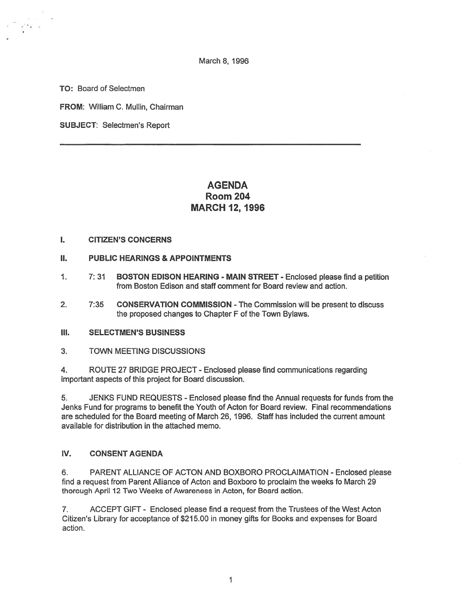March 8, 1996

TO: Board of Selectmen

FROM: William C. Mullin, Chairman

SUBJECT: Selectmen's Report

# AGENDA Room 204 MARCH 12, 1996

## I. CITIZEN'S CONCERNS

## II. PUBLIC HEARINGS & APPOINTMENTS

- 1. 7: 31 BOSTON EDISON HEARING MAIN STREET Enclosed please find <sup>a</sup> petition from Boston Edison and staff comment for Board review and action.
- 2. 7:35 CONSERVATION COMMISSION -The Commission will be presen<sup>t</sup> to discuss the proposed changes to Chapter F of the Town Bylaws.
- III. SELECTMEN'S BUSINESS
- 3. TOWN MEETING DISCUSSIONS

4. ROUTE 27 BRIDGE PROJECT - Enclosed please find communications regarding important aspects of this project for Board discussion.

5. JENKS FUND REQUESTS -Enclosed please find the Annual requests for funds from the Jenks Fund for programs to benefit the Youth of Acton for Board review. Final recommendations are scheduled for the Board meeting of March 26, 1996. Staff has included the current amount available for distribution in the attached memo.

# IV. CONSENT AGENDA

6. PARENT ALLIANCE OF ACTON AND BOXBORO PROCLAIMATION - Enclosed please find <sup>a</sup> reques<sup>t</sup> from Parent Alliance of Acton and Boxboro to proclaim the weeks fo March 29 thorough April 12 Two Weeks of Awareness in Acton, for Board action.

7. ACCEPT GIFT - Enclosed please find <sup>a</sup> reques<sup>t</sup> from the Trustees of the West Acton Citizen's Library for acceptance of \$215.00 in money gifts for Books and expenses for Board action.